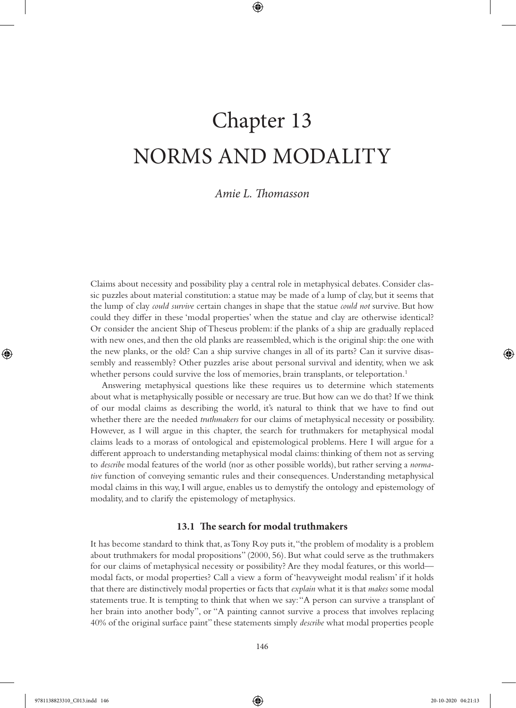# Chapter 13 NORMS AND MODALITY

⊕

## *Amie L. Thomasson*

Claims about necessity and possibility play a central role in metaphysical debates. Consider classic puzzles about material constitution: a statue may be made of a lump of clay, but it seems that the lump of clay *could survive* certain changes in shape that the statue *could not* survive. But how could they differ in these 'modal properties' when the statue and clay are otherwise identical? Or consider the ancient Ship of Theseus problem: if the planks of a ship are gradually replaced with new ones, and then the old planks are reassembled, which is the original ship: the one with the new planks, or the old? Can a ship survive changes in all of its parts? Can it survive disassembly and reassembly? Other puzzles arise about personal survival and identity, when we ask whether persons could survive the loss of memories, brain transplants, or teleportation.<sup>1</sup>

Answering metaphysical questions like these requires us to determine which statements about what is metaphysically possible or necessary are true. But how can we do that? If we think of our modal claims as describing the world, it's natural to think that we have to find out whether there are the needed *truthmakers* for our claims of metaphysical necessity or possibility. However, as I will argue in this chapter, the search for truthmakers for metaphysical modal claims leads to a morass of ontological and epistemological problems. Here I will argue for a different approach to understanding metaphysical modal claims: thinking of them not as serving to *describe* modal features of the world (nor as other possible worlds), but rather serving a *normative* function of conveying semantic rules and their consequences. Understanding metaphysical modal claims in this way, I will argue, enables us to demystify the ontology and epistemology of modality, and to clarify the epistemology of metaphysics.

## **13.1 The search for modal truthmakers**

It has become standard to think that, as Tony Roy puts it, "the problem of modality is a problem about truthmakers for modal propositions" (2000, 56). But what could serve as the truthmakers for our claims of metaphysical necessity or possibility? Are they modal features, or this world modal facts, or modal properties? Call a view a form of 'heavyweight modal realism' if it holds that there are distinctively modal properties or facts that *explain* what it is that *makes* some modal statements true. It is tempting to think that when we say: "A person can survive a transplant of her brain into another body", or "A painting cannot survive a process that involves replacing 40% of the original surface paint" these statements simply *describe* what modal properties people

⊕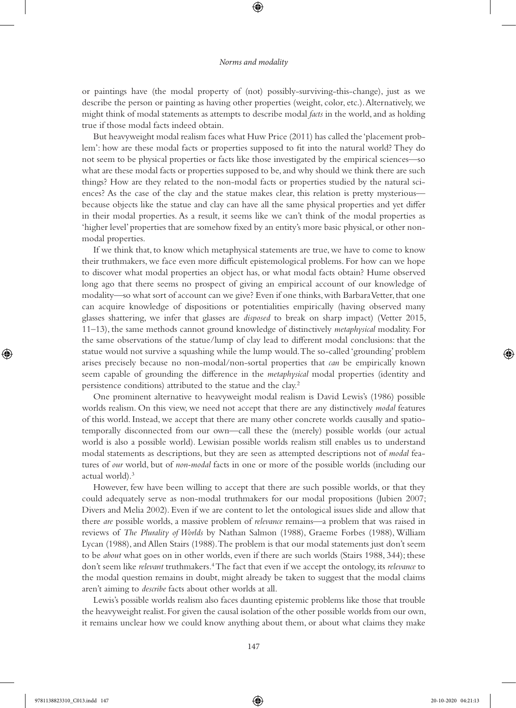⊕

or paintings have (the modal property of (not) possibly-surviving-this-change), just as we describe the person or painting as having other properties (weight, color, etc.). Alternatively, we might think of modal statements as attempts to describe modal *facts* in the world, and as holding true if those modal facts indeed obtain.

But heavyweight modal realism faces what Huw Price (2011) has called the 'placement problem': how are these modal facts or properties supposed to fit into the natural world? They do not seem to be physical properties or facts like those investigated by the empirical sciences—so what are these modal facts or properties supposed to be, and why should we think there are such things? How are they related to the non-modal facts or properties studied by the natural sciences? As the case of the clay and the statue makes clear, this relation is pretty mysterious because objects like the statue and clay can have all the same physical properties and yet differ in their modal properties. As a result, it seems like we can't think of the modal properties as 'higher level' properties that are somehow fixed by an entity's more basic physical, or other nonmodal properties.

If we think that, to know which metaphysical statements are true, we have to come to know their truthmakers, we face even more difficult epistemological problems. For how can we hope to discover what modal properties an object has, or what modal facts obtain? Hume observed long ago that there seems no prospect of giving an empirical account of our knowledge of modality—so what sort of account can we give? Even if one thinks, with Barbara Vetter, that one can acquire knowledge of dispositions or potentialities empirically (having observed many glasses shattering, we infer that glasses are *disposed* to break on sharp impact) (Vetter 2015, 11–13), the same methods cannot ground knowledge of distinctively *metaphysical* modality. For the same observations of the statue/lump of clay lead to different modal conclusions: that the statue would not survive a squashing while the lump would. The so-called 'grounding' problem arises precisely because no non-modal/non-sortal properties that *can* be empirically known seem capable of grounding the difference in the *metaphysical* modal properties (identity and persistence conditions) attributed to the statue and the clay.2

One prominent alternative to heavyweight modal realism is David Lewis's (1986) possible worlds realism. On this view, we need not accept that there are any distinctively *modal* features of this world. Instead, we accept that there are many other concrete worlds causally and spatiotemporally disconnected from our own—call these the (merely) possible worlds (our actual world is also a possible world). Lewisian possible worlds realism still enables us to understand modal statements as descriptions, but they are seen as attempted descriptions not of *modal* features of *our* world, but of *non-modal* facts in one or more of the possible worlds (including our actual world).3

However, few have been willing to accept that there are such possible worlds, or that they could adequately serve as non-modal truthmakers for our modal propositions (Jubien 2007; Divers and Melia 2002). Even if we are content to let the ontological issues slide and allow that there *are* possible worlds, a massive problem of *relevance* remains—a problem that was raised in reviews of *The Plurality of Worlds* by Nathan Salmon (1988), Graeme Forbes (1988), William Lycan (1988), and Allen Stairs (1988). The problem is that our modal statements just don't seem to be *about* what goes on in other worlds, even if there are such worlds (Stairs 1988, 344); these don't seem like *relevant* truthmakers.4 The fact that even if we accept the ontology, its *relevance* to the modal question remains in doubt, might already be taken to suggest that the modal claims aren't aiming to *describe* facts about other worlds at all.

Lewis's possible worlds realism also faces daunting epistemic problems like those that trouble the heavyweight realist. For given the causal isolation of the other possible worlds from our own, it remains unclear how we could know anything about them, or about what claims they make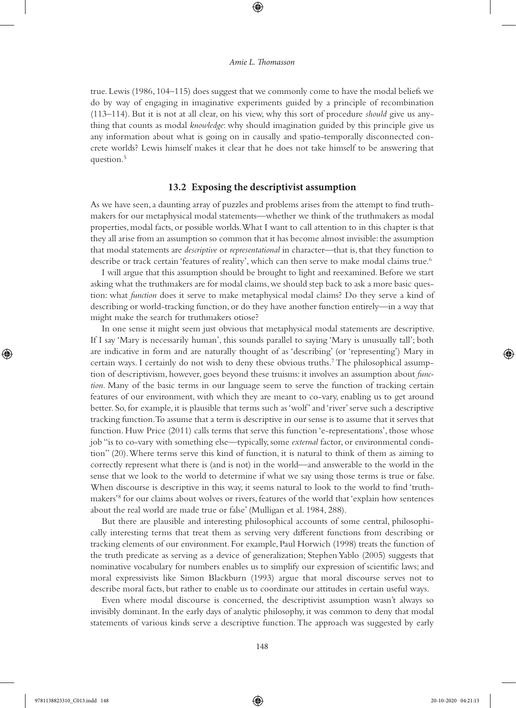⊕

true. Lewis (1986, 104–115) does suggest that we commonly come to have the modal beliefs we do by way of engaging in imaginative experiments guided by a principle of recombination (113–114). But it is not at all clear, on his view, why this sort of procedure *should* give us anything that counts as modal *knowledge*: why should imagination guided by this principle give us any information about what is going on in causally and spatio-temporally disconnected concrete worlds? Lewis himself makes it clear that he does not take himself to be answering that question.5

## **13.2 Exposing the descriptivist assumption**

As we have seen, a daunting array of puzzles and problems arises from the attempt to find truthmakers for our metaphysical modal statements—whether we think of the truthmakers as modal properties, modal facts, or possible worlds. What I want to call attention to in this chapter is that they all arise from an assumption so common that it has become almost invisible: the assumption that modal statements are *descriptive* or *representational* in character—that is, that they function to describe or track certain 'features of reality', which can then serve to make modal claims true.<sup>6</sup>

I will argue that this assumption should be brought to light and reexamined. Before we start asking what the truthmakers are for modal claims, we should step back to ask a more basic question: what *function* does it serve to make metaphysical modal claims? Do they serve a kind of describing or world-tracking function, or do they have another function entirely—in a way that might make the search for truthmakers otiose?

In one sense it might seem just obvious that metaphysical modal statements are descriptive. If I say 'Mary is necessarily human', this sounds parallel to saying 'Mary is unusually tall'; both are indicative in form and are naturally thought of as 'describing' (or 'representing') Mary in certain ways. I certainly do not wish to deny these obvious truths.7 The philosophical assumption of descriptivism, however, goes beyond these truisms: it involves an assumption about *function*. Many of the basic terms in our language seem to serve the function of tracking certain features of our environment, with which they are meant to co-vary, enabling us to get around better. So, for example, it is plausible that terms such as 'wolf' and 'river' serve such a descriptive tracking function. To assume that a term is descriptive in our sense is to assume that it serves that function. Huw Price (2011) calls terms that serve this function 'e-representations', those whose job "is to co-vary with something else—typically, some *external* factor, or environmental condition" (20). Where terms serve this kind of function, it is natural to think of them as aiming to correctly represent what there is (and is not) in the world—and answerable to the world in the sense that we look to the world to determine if what we say using those terms is true or false. When discourse is descriptive in this way, it seems natural to look to the world to find 'truthmakers'8 for our claims about wolves or rivers, features of the world that 'explain how sentences about the real world are made true or false' (Mulligan et al. 1984, 288).

But there are plausible and interesting philosophical accounts of some central, philosophically interesting terms that treat them as serving very different functions from describing or tracking elements of our environment. For example, Paul Horwich (1998) treats the function of the truth predicate as serving as a device of generalization; Stephen Yablo (2005) suggests that nominative vocabulary for numbers enables us to simplify our expression of scientific laws; and moral expressivists like Simon Blackburn (1993) argue that moral discourse serves not to describe moral facts, but rather to enable us to coordinate our attitudes in certain useful ways.

Even where modal discourse is concerned, the descriptivist assumption wasn't always so invisibly dominant. In the early days of analytic philosophy, it was common to deny that modal statements of various kinds serve a descriptive function. The approach was suggested by early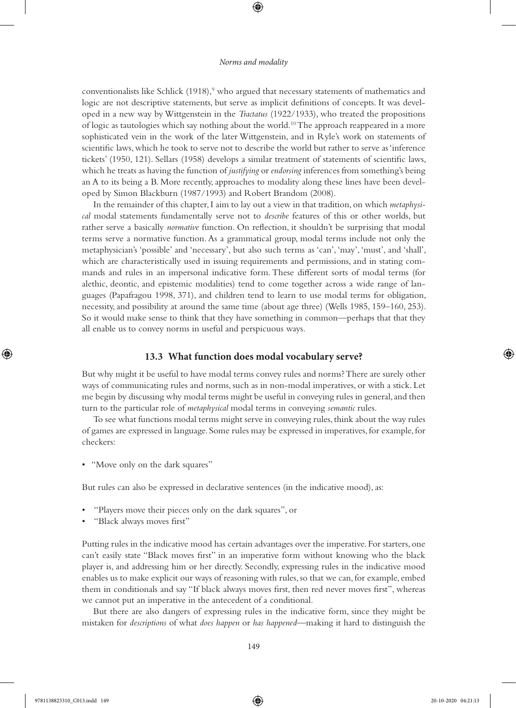⊕

conventionalists like Schlick  $(1918)$ ,<sup>9</sup> who argued that necessary statements of mathematics and logic are not descriptive statements, but serve as implicit definitions of concepts. It was developed in a new way by Wittgenstein in the *Tractatus* (1922/1933), who treated the propositions of logic as tautologies which say nothing about the world.10 The approach reappeared in a more sophisticated vein in the work of the later Wittgenstein, and in Ryle's work on statements of scientific laws, which he took to serve not to describe the world but rather to serve as 'inference tickets' (1950, 121). Sellars (1958) develops a similar treatment of statements of scientific laws, which he treats as having the function of *justifying* or *endorsing* inferences from something's being an A to its being a B. More recently, approaches to modality along these lines have been developed by Simon Blackburn (1987/1993) and Robert Brandom (2008).

In the remainder of this chapter, I aim to lay out a view in that tradition, on which *metaphysical* modal statements fundamentally serve not to *describe* features of this or other worlds, but rather serve a basically *normative* function. On reflection, it shouldn't be surprising that modal terms serve a normative function. As a grammatical group, modal terms include not only the metaphysician's 'possible' and 'necessary', but also such terms as 'can', 'may', 'must', and 'shall', which are characteristically used in issuing requirements and permissions, and in stating commands and rules in an impersonal indicative form. These different sorts of modal terms (for alethic, deontic, and epistemic modalities) tend to come together across a wide range of languages (Papafragou 1998, 371), and children tend to learn to use modal terms for obligation, necessity, and possibility at around the same time (about age three) (Wells 1985, 159–160, 253). So it would make sense to think that they have something in common—perhaps that that they all enable us to convey norms in useful and perspicuous ways.

## **13.3 What function does modal vocabulary serve?**

But why might it be useful to have modal terms convey rules and norms? There are surely other ways of communicating rules and norms, such as in non-modal imperatives, or with a stick. Let me begin by discussing why modal terms might be useful in conveying rules in general, and then turn to the particular role of *metaphysical* modal terms in conveying *semantic* rules.

To see what functions modal terms might serve in conveying rules, think about the way rules of games are expressed in language. Some rules may be expressed in imperatives, for example, for checkers:

• "Move only on the dark squares"

But rules can also be expressed in declarative sentences (in the indicative mood), as:

- "Players move their pieces only on the dark squares", or
- "Black always moves first"

Putting rules in the indicative mood has certain advantages over the imperative. For starters, one can't easily state "Black moves first" in an imperative form without knowing who the black player is, and addressing him or her directly. Secondly, expressing rules in the indicative mood enables us to make explicit our ways of reasoning with rules, so that we can, for example, embed them in conditionals and say "If black always moves first, then red never moves first", whereas we cannot put an imperative in the antecedent of a conditional.

But there are also dangers of expressing rules in the indicative form, since they might be mistaken for *descriptions* of what *does happen* or *has happened—*making it hard to distinguish the

⊕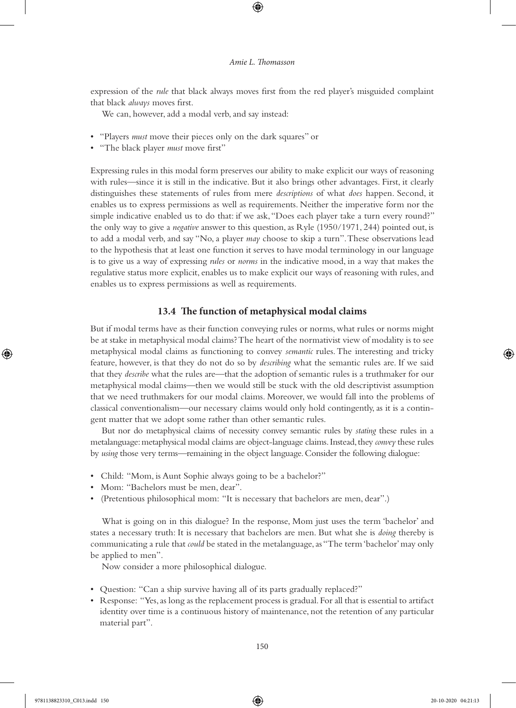⊕

expression of the *rule* that black always moves first from the red player's misguided complaint that black *always* moves first.

We can, however, add a modal verb, and say instead:

- "Players *must* move their pieces only on the dark squares" or
- "The black player *must* move first"

Expressing rules in this modal form preserves our ability to make explicit our ways of reasoning with rules—since it is still in the indicative. But it also brings other advantages. First, it clearly distinguishes these statements of rules from mere *descriptions* of what *does* happen. Second, it enables us to express permissions as well as requirements. Neither the imperative form nor the simple indicative enabled us to do that: if we ask, "Does each player take a turn every round?" the only way to give a *negative* answer to this question, as Ryle (1950/1971, 244) pointed out, is to add a modal verb, and say "No, a player *may* choose to skip a turn". These observations lead to the hypothesis that at least one function it serves to have modal terminology in our language is to give us a way of expressing *rules* or *norms* in the indicative mood, in a way that makes the regulative status more explicit, enables us to make explicit our ways of reasoning with rules, and enables us to express permissions as well as requirements.

## **13.4 The function of metaphysical modal claims**

But if modal terms have as their function conveying rules or norms, what rules or norms might be at stake in metaphysical modal claims? The heart of the normativist view of modality is to see metaphysical modal claims as functioning to convey *semantic* rules. The interesting and tricky feature, however, is that they do not do so by *describing* what the semantic rules are. If we said that they *describe* what the rules are—that the adoption of semantic rules is a truthmaker for our metaphysical modal claims—then we would still be stuck with the old descriptivist assumption that we need truthmakers for our modal claims. Moreover, we would fall into the problems of classical conventionalism—our necessary claims would only hold contingently, as it is a contingent matter that we adopt some rather than other semantic rules.

But nor do metaphysical claims of necessity convey semantic rules by *stating* these rules in a metalanguage: metaphysical modal claims are object-language claims. Instead, they *convey* these rules by *using* those very terms—remaining in the object language. Consider the following dialogue:

- Child: "Mom, is Aunt Sophie always going to be a bachelor?"
- Mom: "Bachelors must be men, dear".
- (Pretentious philosophical mom: "It is necessary that bachelors are men, dear".)

What is going on in this dialogue? In the response, Mom just uses the term 'bachelor' and states a necessary truth: It is necessary that bachelors are men. But what she is *doing* thereby is communicating a rule that *could* be stated in the metalanguage, as "The term 'bachelor' may only be applied to men".

Now consider a more philosophical dialogue.

- Question: "Can a ship survive having all of its parts gradually replaced?"
- Response: "Yes, as long as the replacement process is gradual. For all that is essential to artifact identity over time is a continuous history of maintenance, not the retention of any particular material part".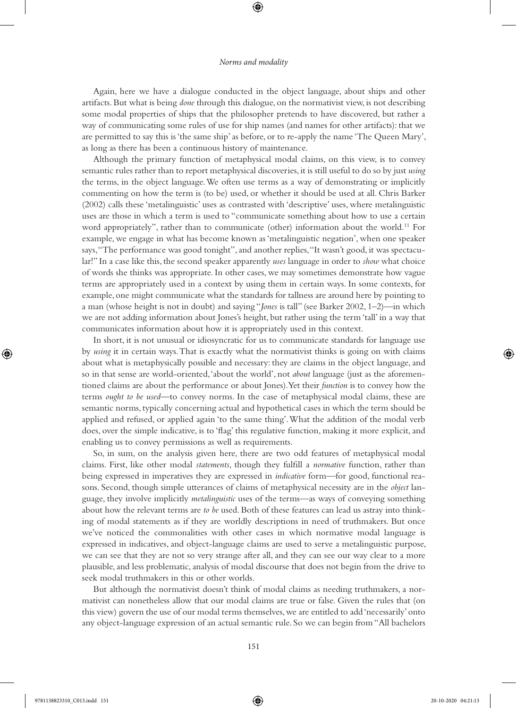⊕

Again, here we have a dialogue conducted in the object language, about ships and other artifacts. But what is being *done* through this dialogue, on the normativist view, is not describing some modal properties of ships that the philosopher pretends to have discovered, but rather a way of communicating some rules of use for ship names (and names for other artifacts): that we are permitted to say this is 'the same ship' as before, or to re-apply the name 'The Queen Mary', as long as there has been a continuous history of maintenance.

Although the primary function of metaphysical modal claims, on this view, is to convey semantic rules rather than to report metaphysical discoveries, it is still useful to do so by just *using* the terms, in the object language. We often use terms as a way of demonstrating or implicitly commenting on how the term is (to be) used, or whether it should be used at all. Chris Barker (2002) calls these 'metalinguistic' uses as contrasted with 'descriptive' uses, where metalinguistic uses are those in which a term is used to "communicate something about how to use a certain word appropriately", rather than to communicate (other) information about the world.<sup>11</sup> For example, we engage in what has become known as 'metalinguistic negation', when one speaker says, "The performance was good tonight", and another replies, "It wasn't good, it was spectacular!" In a case like this, the second speaker apparently *uses* language in order to *show* what choice of words she thinks was appropriate. In other cases, we may sometimes demonstrate how vague terms are appropriately used in a context by using them in certain ways. In some contexts, for example, one might communicate what the standards for tallness are around here by pointing to a man (whose height is not in doubt) and saying "*Jones* is tall" (see Barker 2002, 1–2)—in which we are not adding information about Jones's height, but rather using the term 'tall' in a way that communicates information about how it is appropriately used in this context.

In short, it is not unusual or idiosyncratic for us to communicate standards for language use by *using* it in certain ways. That is exactly what the normativist thinks is going on with claims about what is metaphysically possible and necessary: they are claims in the object language, and so in that sense are world-oriented, 'about the world', not *about* language (just as the aforementioned claims are about the performance or about Jones). Yet their *function* is to convey how the terms *ought to be used—*to convey norms. In the case of metaphysical modal claims, these are semantic norms, typically concerning actual and hypothetical cases in which the term should be applied and refused, or applied again 'to the same thing'. What the addition of the modal verb does, over the simple indicative, is to 'flag' this regulative function, making it more explicit, and enabling us to convey permissions as well as requirements.

So, in sum, on the analysis given here, there are two odd features of metaphysical modal claims. First, like other modal *statements*, though they fulfill a *normative* function, rather than being expressed in imperatives they are expressed in *indicative* form—for good, functional reasons. Second, though simple utterances of claims of metaphysical necessity are in the *object* language, they involve implicitly *metalinguistic* uses of the terms—as ways of conveying something about how the relevant terms are *to be* used. Both of these features can lead us astray into thinking of modal statements as if they are worldly descriptions in need of truthmakers. But once we've noticed the commonalities with other cases in which normative modal language is expressed in indicatives, and object-language claims are used to serve a metalinguistic purpose, we can see that they are not so very strange after all, and they can see our way clear to a more plausible, and less problematic, analysis of modal discourse that does not begin from the drive to seek modal truthmakers in this or other worlds.

But although the normativist doesn't think of modal claims as needing truthmakers, a normativist can nonetheless allow that our modal claims are true or false. Given the rules that (on this view) govern the use of our modal terms themselves, we are entitled to add 'necessarily' onto any object-language expression of an actual semantic rule. So we can begin from "All bachelors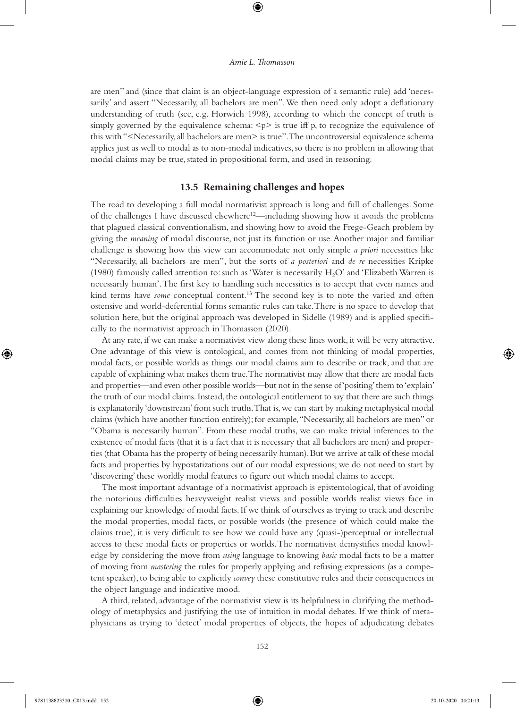⊕

are men" and (since that claim is an object-language expression of a semantic rule) add 'necessarily' and assert "Necessarily, all bachelors are men". We then need only adopt a deflationary understanding of truth (see, e.g. Horwich 1998), according to which the concept of truth is simply governed by the equivalence schema:  $\langle p \rangle$  is true iff p, to recognize the equivalence of this with "<Necessarily, all bachelors are men> is true". The uncontroversial equivalence schema applies just as well to modal as to non-modal indicatives, so there is no problem in allowing that modal claims may be true, stated in propositional form, and used in reasoning.

### **13.5 Remaining challenges and hopes**

The road to developing a full modal normativist approach is long and full of challenges. Some of the challenges I have discussed elsewhere<sup>12</sup>—including showing how it avoids the problems that plagued classical conventionalism, and showing how to avoid the Frege-Geach problem by giving the *meaning* of modal discourse, not just its function or use. Another major and familiar challenge is showing how this view can accommodate not only simple *a priori* necessities like "Necessarily, all bachelors are men", but the sorts of *a posteriori* and *de re* necessities Kripke (1980) famously called attention to: such as 'Water is necessarily  $H<sub>2</sub>O'$  and 'Elizabeth Warren is necessarily human'. The first key to handling such necessities is to accept that even names and kind terms have *some* conceptual content.13 The second key is to note the varied and often ostensive and world-deferential forms semantic rules can take. There is no space to develop that solution here, but the original approach was developed in Sidelle (1989) and is applied specifically to the normativist approach in Thomasson (2020).

At any rate, if we can make a normativist view along these lines work, it will be very attractive. One advantage of this view is ontological, and comes from not thinking of modal properties, modal facts, or possible worlds as things our modal claims aim to describe or track, and that are capable of explaining what makes them true. The normativist may allow that there are modal facts and properties—and even other possible worlds—but not in the sense of 'positing' them to 'explain' the truth of our modal claims. Instead, the ontological entitlement to say that there are such things is explanatorily 'downstream' from such truths. That is, we can start by making metaphysical modal claims (which have another function entirely); for example, "Necessarily, all bachelors are men" or "Obama is necessarily human". From these modal truths, we can make trivial inferences to the existence of modal facts (that it is a fact that it is necessary that all bachelors are men) and properties (that Obama has the property of being necessarily human). But we arrive at talk of these modal facts and properties by hypostatizations out of our modal expressions; we do not need to start by 'discovering' these worldly modal features to figure out which modal claims to accept.

The most important advantage of a normativist approach is epistemological, that of avoiding the notorious difficulties heavyweight realist views and possible worlds realist views face in explaining our knowledge of modal facts. If we think of ourselves as trying to track and describe the modal properties, modal facts, or possible worlds (the presence of which could make the claims true), it is very difficult to see how we could have any (quasi-)perceptual or intellectual access to these modal facts or properties or worlds. The normativist demystifies modal knowledge by considering the move from *using* language to knowing *basic* modal facts to be a matter of moving from *mastering* the rules for properly applying and refusing expressions (as a competent speaker), to being able to explicitly *convey* these constitutive rules and their consequences in the object language and indicative mood.

A third, related, advantage of the normativist view is its helpfulness in clarifying the methodology of metaphysics and justifying the use of intuition in modal debates. If we think of metaphysicians as trying to 'detect' modal properties of objects, the hopes of adjudicating debates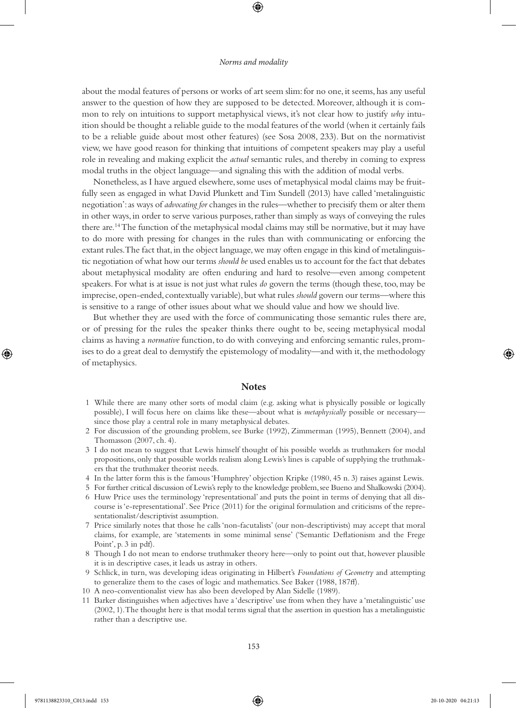⊕

about the modal features of persons or works of art seem slim: for no one, it seems, has any useful answer to the question of how they are supposed to be detected. Moreover, although it is common to rely on intuitions to support metaphysical views, it's not clear how to justify *why* intuition should be thought a reliable guide to the modal features of the world (when it certainly fails to be a reliable guide about most other features) (see Sosa 2008, 233). But on the normativist view, we have good reason for thinking that intuitions of competent speakers may play a useful role in revealing and making explicit the *actual* semantic rules, and thereby in coming to express modal truths in the object language—and signaling this with the addition of modal verbs.

Nonetheless, as I have argued elsewhere, some uses of metaphysical modal claims may be fruitfully seen as engaged in what David Plunkett and Tim Sundell (2013) have called 'metalinguistic negotiation': as ways of *advocating for* changes in the rules—whether to precisify them or alter them in other ways, in order to serve various purposes, rather than simply as ways of conveying the rules there are.14 The function of the metaphysical modal claims may still be normative, but it may have to do more with pressing for changes in the rules than with communicating or enforcing the extant rules. The fact that, in the object language, we may often engage in this kind of metalinguistic negotiation of what how our terms *should be* used enables us to account for the fact that debates about metaphysical modality are often enduring and hard to resolve—even among competent speakers. For what is at issue is not just what rules *do* govern the terms (though these, too, may be imprecise, open-ended, contextually variable), but what rules *should* govern our terms—where this is sensitive to a range of other issues about what we should value and how we should live.

But whether they are used with the force of communicating those semantic rules there are, or of pressing for the rules the speaker thinks there ought to be, seeing metaphysical modal claims as having a *normative* function, to do with conveying and enforcing semantic rules, promises to do a great deal to demystify the epistemology of modality—and with it, the methodology of metaphysics.

#### **Notes**

- 1 While there are many other sorts of modal claim (e.g. asking what is physically possible or logically possible), I will focus here on claims like these—about what is *metaphysically* possible or necessary since those play a central role in many metaphysical debates.
- 2 For discussion of the grounding problem, see Burke (1992), Zimmerman (1995), Bennett (2004), and Thomasson (2007, ch. 4).
- 3 I do not mean to suggest that Lewis himself thought of his possible worlds as truthmakers for modal propositions, only that possible worlds realism along Lewis's lines is capable of supplying the truthmakers that the truthmaker theorist needs.
- 4 In the latter form this is the famous 'Humphrey' objection Kripke (1980, 45 n. 3) raises against Lewis.
- 5 For further critical discussion of Lewis's reply to the knowledge problem, see Bueno and Shalkowski (2004).
- 6 Huw Price uses the terminology 'representational' and puts the point in terms of denying that all discourse is 'e-representational'. See Price (2011) for the original formulation and criticisms of the representationalist/descriptivist assumption.
- 7 Price similarly notes that those he calls 'non-facutalists' (our non-descriptivists) may accept that moral claims, for example, are 'statements in some minimal sense' ('Semantic Deflationism and the Frege Point', p. 3 in pdf).
- 8 Though I do not mean to endorse truthmaker theory here—only to point out that, however plausible it is in descriptive cases, it leads us astray in others.
- 9 Schlick, in turn, was developing ideas originating in Hilbert's *Foundations of Geometry* and attempting to generalize them to the cases of logic and mathematics. See Baker (1988, 187ff).
- 10 A neo-conventionalist view has also been developed by Alan Sidelle (1989).
- 11 Barker distinguishes when adjectives have a 'descriptive' use from when they have a 'metalinguistic' use (2002, 1). The thought here is that modal terms signal that the assertion in question has a metalinguistic rather than a descriptive use.